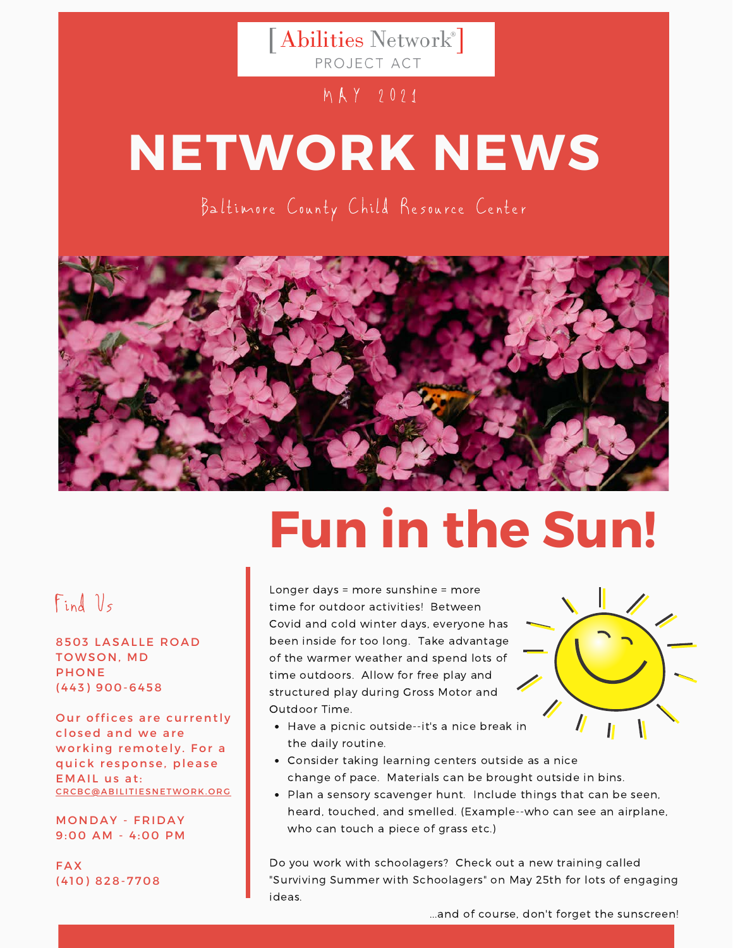[Abilities Network<sup>®</sup>] PROJECT ACT

#### M A Y 2021

# **NETWORK NEWS**

Baltimore County Child Resource Center



# **Fun in the Sun!**

## Find Us

8503 LASALLE ROAD TOWSON, MD **PHONE** ( 4 4 3 ) 9 0 0 - 6 4 5 8

Our offices are currently closed and we are working remotely. For a quick response, please EMAIL us at: C R C B C @ A B I LITIE S N E T W O R K . O R G

**MONDAY - FRIDAY** 9:00 AM - 4:00 PM

**FAX** (410) 828-7708

#### Longer days = more sunshine = more time for outdoor activities! Between Covid and cold winter days, everyone has been inside for too long. Take advantage of the warmer weather and spend lots of time outdoors. Allow for free play and structured play during Gross Motor and Outdoor Time.



- Have a picnic outside--it's a nice break in the daily routine.
- Consider taking learning centers outside as a nice change of pace. Materials can be brought outside in bins.
- Plan a sensory scavenger hunt. Include things that can be seen, heard, touched, and smelled. (Example--who can see an airplane, who can touch a piece of grass etc.)

Do you work with schoolagers? Check out a new training called "Surviving Summer with Schoolagers" on May 25th for lots of engaging ideas.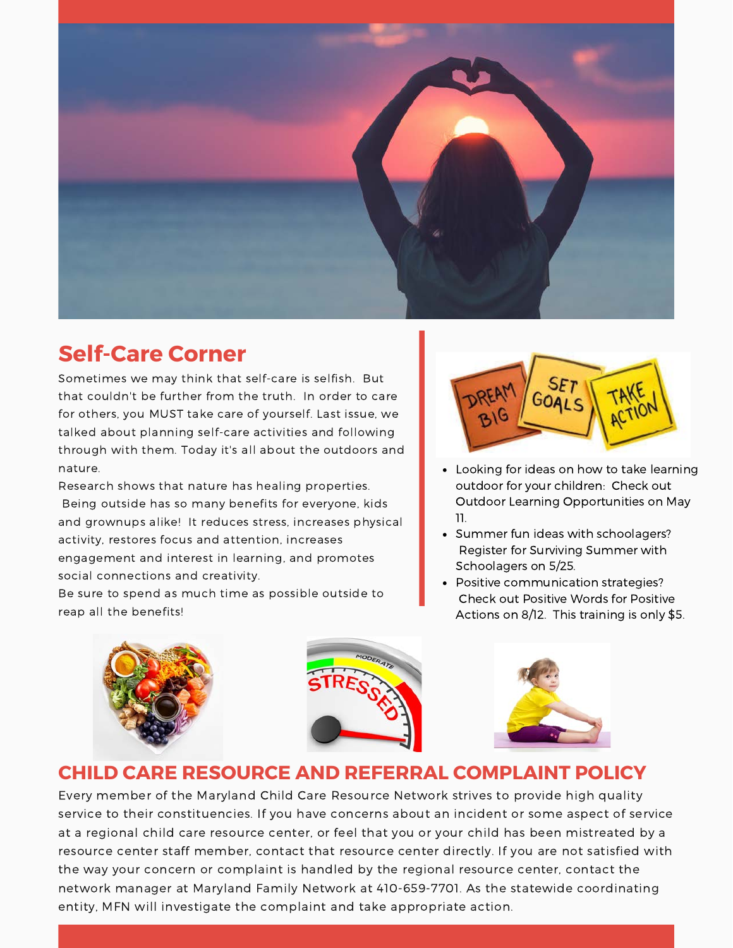

### **Self-Care Corner**

Sometimes we may think that self-care is selfish. But that couldn't be further from the truth. In order to care for others, you MUST take care of yourself. Last issue, we talked about planning self-care activities and following through with them. Today it's all about the outdoors and nature.

Research shows that nature has healing properties. Being outside has so many benefits for everyone, kids and grownups alike! It reduces stress, increases physical activity, restores focus and attention, increases engagement and interest in learning, and promotes social connections and creativity.

Be sure to spend as much time as possible outside to reap all the benefits!



- Looking for ideas on how to take learning outdoor for your children: Check out Outdoor Learning Opportunities on May 11.
- Summer fun ideas with schoolagers? Register for Surviving Summer with Schoolagers on 5/25.
- Positive communication strategies? Check out Positive Words for Positive Actions on 8/12. This training is only \$5.







#### **CHILD CARE RESOURCE AND REFERRAL COMPLAINT POLICY**

Every member of the Maryland Child Care Resource Network strives to provide high quality service to their constituencies. If you have concerns about an incident or some aspect of service at a regional child care resource center, or feel that you or your child has been mistreated by a resource center staff member, contact that resource center directly. If you are not satisfied with the way your concern or complaint is handled by the regional resource center, contact the network manager at Maryland Family Network at 410-659-7701. As the statewide coordinating entity, MFN will investigate the complaint and take appropriate action.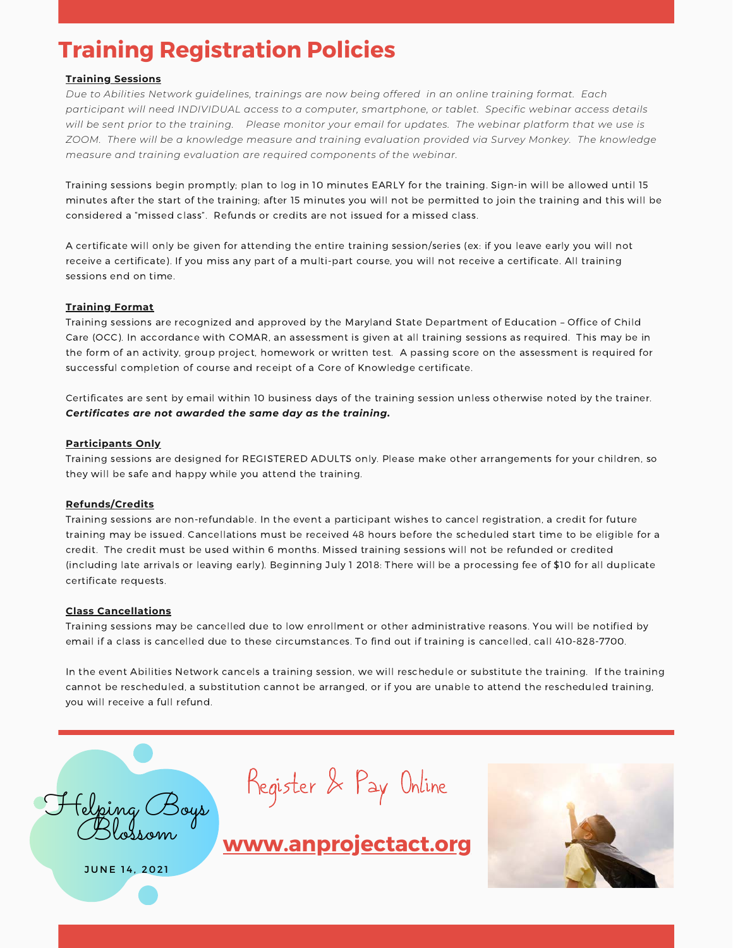## **Training Registration Policies**

#### **Training Sessions**

*Due to Abilities Network guidelines, trainings are now being offered in an online training format. Each participant will need INDIVIDUAL access to a computer, smartphone, or tablet. Specific webinar access details will be sent prior to the training. Please monitor your email for updates. The webinar platform that we use is ZOOM. There will be a knowledge measure and training evaluation provided via Survey Monkey. The knowledge measure and training evaluation are required components of the webinar.*

Training sessions begin promptly; plan to log in 10 minutes EARLY for the training. Sign-in will be allowed until 15 minutes after the start of the training; after 15 minutes you will not be permitted to join the training and this will be considered a "missed class". Refunds or credits are not issued for a missed class.

A certificate will only be given for attending the entire training session/series (ex: if you leave early you will not receive a certificate). If you miss any part of a multi-part course, you will not receive a certificate. All training sessions end on time.

#### **Training Format**

Training sessions are recognized and approved by the Maryland State Department of Education – Office of Child Care (OCC). In accordance with COMAR, an assessment is given at all training sessions as required. This may be in the form of an activity, group project, homework or written test. A passing score on the assessment is required for successful completion of course and receipt of a Core of Knowledge certificate.

Certificates are sent by email within 10 business days of the training session unless otherwise noted by the trainer. *Certificates are not awarded the same day as the training.* 

#### **Participants Only**

Training sessions are designed for REGISTERED ADULTS only. Please make other arrangements for your children, so they will be safe and happy while you attend the training.

#### **Refunds/Credits**

Training sessions are non-refundable. In the event a participant wishes to cancel registration, a credit for future training may be issued. Cancellations must be received 48 hours before the scheduled start time to be eligible for a credit. The credit must be used within 6 months. Missed training sessions will not be refunded or credited (including late arrivals or leaving early). Beginning July 1 2018: There will be a processing fee of \$10 for all duplicate certificate requests.

#### **Class Cancellations**

Training sessions may be cancelled due to low enrollment or other administrative reasons. You will be notified by email if a class is cancelled due to these circumstances. To find out if training is cancelled, call 410-828-7700.

In the event Abilities Network cancels a training session, we will reschedule or substitute the training. If the training cannot be rescheduled, a substitution cannot be arranged, or if you are unable to attend the rescheduled training, you will receive a full refund.

Helping Boys Blossom

JUNE 14, 2021

Register & Pay Online

**[www.anprojectact.org](http://www.anprojectact.org/)**

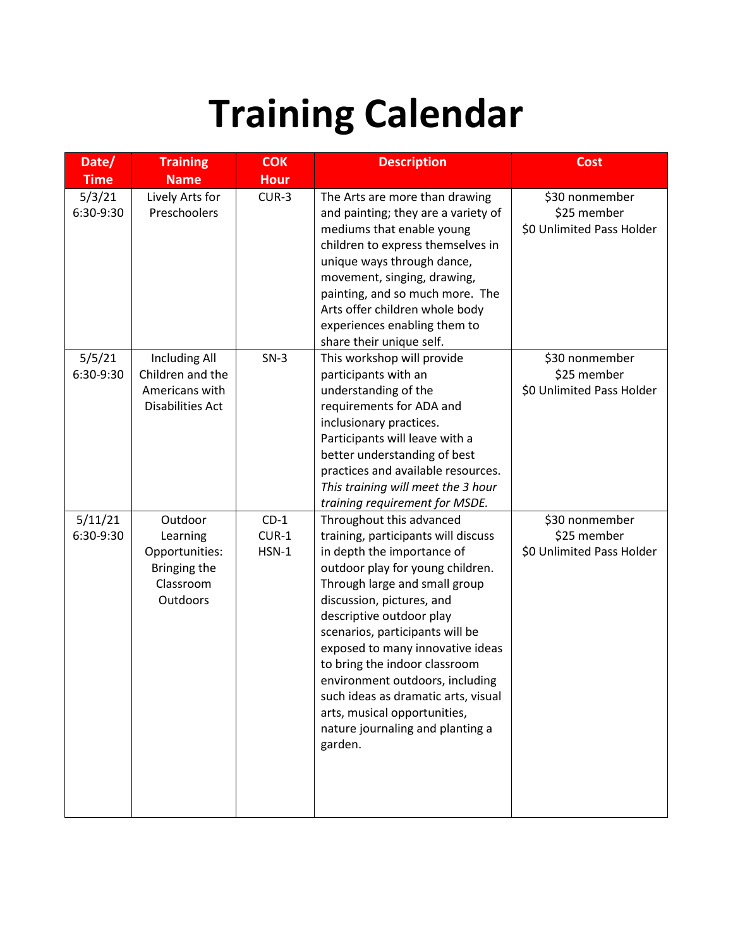# **Training Calendar**

| Date/                | <b>Training</b>                                                                       | <b>COK</b>                   | <b>Description</b>                                                                                                                                                                                                                                                                                                                                                                                                                                                                           | <b>Cost</b>                                                |
|----------------------|---------------------------------------------------------------------------------------|------------------------------|----------------------------------------------------------------------------------------------------------------------------------------------------------------------------------------------------------------------------------------------------------------------------------------------------------------------------------------------------------------------------------------------------------------------------------------------------------------------------------------------|------------------------------------------------------------|
| <b>Time</b>          | <b>Name</b>                                                                           | <b>Hour</b>                  |                                                                                                                                                                                                                                                                                                                                                                                                                                                                                              |                                                            |
| 5/3/21<br>6:30-9:30  | Lively Arts for<br>Preschoolers                                                       | $CUR-3$                      | The Arts are more than drawing<br>and painting; they are a variety of<br>mediums that enable young<br>children to express themselves in<br>unique ways through dance,<br>movement, singing, drawing,<br>painting, and so much more. The<br>Arts offer children whole body<br>experiences enabling them to<br>share their unique self.                                                                                                                                                        | \$30 nonmember<br>\$25 member<br>\$0 Unlimited Pass Holder |
| 5/5/21<br>6:30-9:30  | <b>Including All</b><br>Children and the<br>Americans with<br><b>Disabilities Act</b> | $SN-3$                       | This workshop will provide<br>participants with an<br>understanding of the<br>requirements for ADA and<br>inclusionary practices.<br>Participants will leave with a<br>better understanding of best<br>practices and available resources.<br>This training will meet the 3 hour<br>training requirement for MSDE.                                                                                                                                                                            | \$30 nonmember<br>\$25 member<br>\$0 Unlimited Pass Holder |
| 5/11/21<br>6:30-9:30 | Outdoor<br>Learning<br>Opportunities:<br>Bringing the<br>Classroom<br>Outdoors        | $CD-1$<br>$CUR-1$<br>$HSN-1$ | Throughout this advanced<br>training, participants will discuss<br>in depth the importance of<br>outdoor play for young children.<br>Through large and small group<br>discussion, pictures, and<br>descriptive outdoor play<br>scenarios, participants will be<br>exposed to many innovative ideas<br>to bring the indoor classroom<br>environment outdoors, including<br>such ideas as dramatic arts, visual<br>arts, musical opportunities,<br>nature journaling and planting a<br>garden. | \$30 nonmember<br>\$25 member<br>\$0 Unlimited Pass Holder |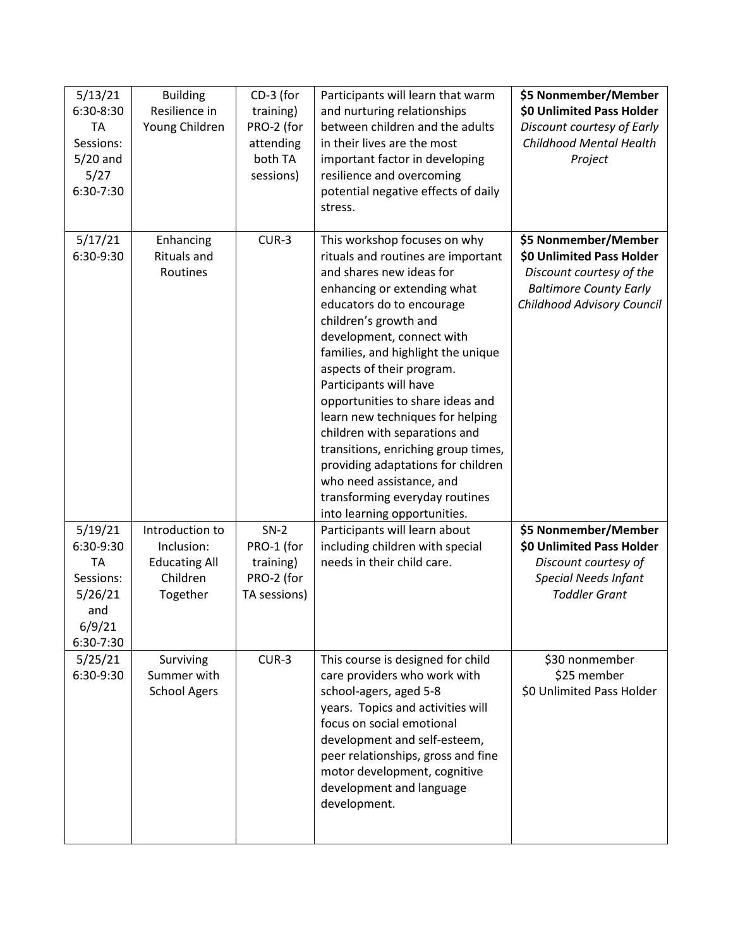| 5/13/21<br>6:30-8:30<br><b>TA</b><br>Sessions:<br>$5/20$ and<br>5/27<br>6:30-7:30       | <b>Building</b><br>Resilience in<br>Young Children                            | CD-3 (for<br>training)<br>PRO-2 (for<br>attending<br>both TA<br>sessions) | Participants will learn that warm<br>and nurturing relationships<br>between children and the adults<br>in their lives are the most<br>important factor in developing<br>resilience and overcoming<br>potential negative effects of daily<br>stress.                                                                                                                                                                                                                                                                                                                                               | \$5 Nonmember/Member<br>\$0 Unlimited Pass Holder<br>Discount courtesy of Early<br>Childhood Mental Health<br>Project                        |
|-----------------------------------------------------------------------------------------|-------------------------------------------------------------------------------|---------------------------------------------------------------------------|---------------------------------------------------------------------------------------------------------------------------------------------------------------------------------------------------------------------------------------------------------------------------------------------------------------------------------------------------------------------------------------------------------------------------------------------------------------------------------------------------------------------------------------------------------------------------------------------------|----------------------------------------------------------------------------------------------------------------------------------------------|
| 5/17/21<br>6:30-9:30                                                                    | Enhancing<br><b>Rituals and</b><br>Routines                                   | $CUR-3$                                                                   | This workshop focuses on why<br>rituals and routines are important<br>and shares new ideas for<br>enhancing or extending what<br>educators do to encourage<br>children's growth and<br>development, connect with<br>families, and highlight the unique<br>aspects of their program.<br>Participants will have<br>opportunities to share ideas and<br>learn new techniques for helping<br>children with separations and<br>transitions, enriching group times,<br>providing adaptations for children<br>who need assistance, and<br>transforming everyday routines<br>into learning opportunities. | \$5 Nonmember/Member<br>\$0 Unlimited Pass Holder<br>Discount courtesy of the<br><b>Baltimore County Early</b><br>Childhood Advisory Council |
| 5/19/21<br>6:30-9:30<br><b>TA</b><br>Sessions:<br>5/26/21<br>and<br>6/9/21<br>6:30-7:30 | Introduction to<br>Inclusion:<br><b>Educating All</b><br>Children<br>Together | $SN-2$<br>PRO-1 (for<br>training)<br>PRO-2 (for<br>TA sessions)           | Participants will learn about<br>including children with special<br>needs in their child care.                                                                                                                                                                                                                                                                                                                                                                                                                                                                                                    | \$5 Nonmember/Member<br>\$0 Unlimited Pass Holder<br>Discount courtesy of<br><b>Special Needs Infant</b><br><b>Toddler Grant</b>             |
| 5/25/21<br>6:30-9:30                                                                    | Surviving<br>Summer with<br><b>School Agers</b>                               | $CUR-3$                                                                   | This course is designed for child<br>care providers who work with<br>school-agers, aged 5-8<br>years. Topics and activities will<br>focus on social emotional<br>development and self-esteem,<br>peer relationships, gross and fine<br>motor development, cognitive<br>development and language<br>development.                                                                                                                                                                                                                                                                                   | \$30 nonmember<br>\$25 member<br>\$0 Unlimited Pass Holder                                                                                   |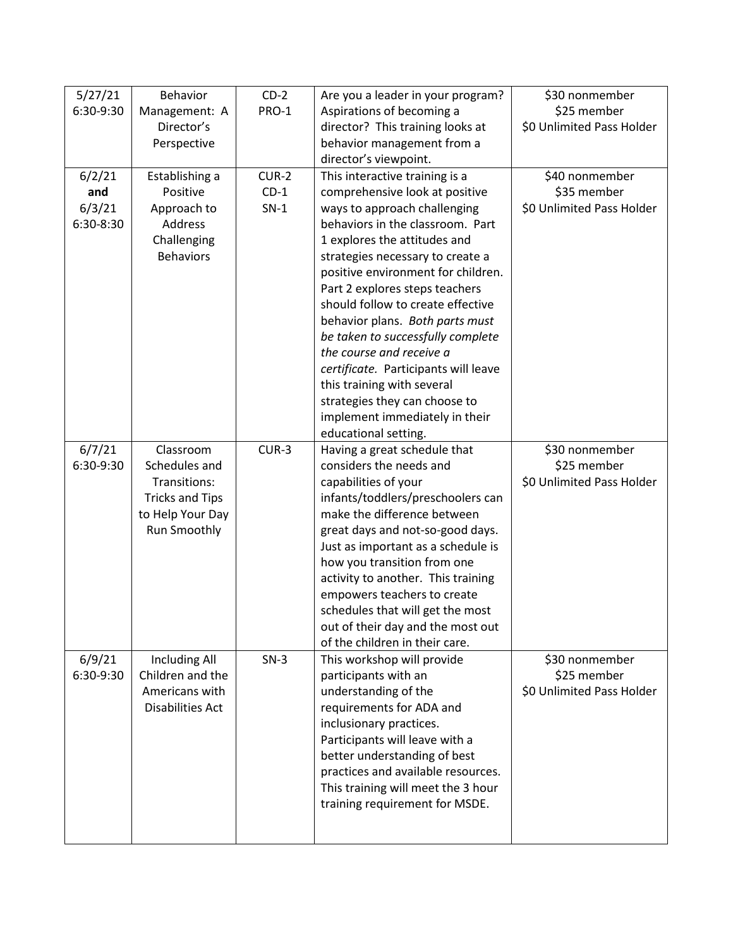| 5/27/21   | Behavior                | $CD-2$  | Are you a leader in your program?    | \$30 nonmember            |
|-----------|-------------------------|---------|--------------------------------------|---------------------------|
| 6:30-9:30 | Management: A           | PRO-1   | Aspirations of becoming a            | \$25 member               |
|           | Director's              |         | director? This training looks at     | \$0 Unlimited Pass Holder |
|           | Perspective             |         | behavior management from a           |                           |
|           |                         |         | director's viewpoint.                |                           |
| 6/2/21    | Establishing a          | $CUR-2$ | This interactive training is a       | \$40 nonmember            |
| and       | Positive                | $CD-1$  | comprehensive look at positive       | \$35 member               |
| 6/3/21    | Approach to             | $SN-1$  | ways to approach challenging         | \$0 Unlimited Pass Holder |
| 6:30-8:30 | Address                 |         | behaviors in the classroom. Part     |                           |
|           | Challenging             |         | 1 explores the attitudes and         |                           |
|           | <b>Behaviors</b>        |         | strategies necessary to create a     |                           |
|           |                         |         | positive environment for children.   |                           |
|           |                         |         | Part 2 explores steps teachers       |                           |
|           |                         |         | should follow to create effective    |                           |
|           |                         |         | behavior plans. Both parts must      |                           |
|           |                         |         | be taken to successfully complete    |                           |
|           |                         |         | the course and receive a             |                           |
|           |                         |         | certificate. Participants will leave |                           |
|           |                         |         | this training with several           |                           |
|           |                         |         | strategies they can choose to        |                           |
|           |                         |         | implement immediately in their       |                           |
|           |                         |         | educational setting.                 |                           |
| 6/7/21    | Classroom               | $CUR-3$ | Having a great schedule that         | \$30 nonmember            |
| 6:30-9:30 | Schedules and           |         | considers the needs and              | \$25 member               |
|           | Transitions:            |         | capabilities of your                 | \$0 Unlimited Pass Holder |
|           | <b>Tricks and Tips</b>  |         | infants/toddlers/preschoolers can    |                           |
|           | to Help Your Day        |         | make the difference between          |                           |
|           | Run Smoothly            |         | great days and not-so-good days.     |                           |
|           |                         |         | Just as important as a schedule is   |                           |
|           |                         |         | how you transition from one          |                           |
|           |                         |         | activity to another. This training   |                           |
|           |                         |         | empowers teachers to create          |                           |
|           |                         |         | schedules that will get the most     |                           |
|           |                         |         | out of their day and the most out    |                           |
|           |                         |         | of the children in their care.       |                           |
| 6/9/21    | <b>Including All</b>    | $SN-3$  | This workshop will provide           | \$30 nonmember            |
| 6:30-9:30 | Children and the        |         | participants with an                 | \$25 member               |
|           | Americans with          |         | understanding of the                 | \$0 Unlimited Pass Holder |
|           | <b>Disabilities Act</b> |         | requirements for ADA and             |                           |
|           |                         |         | inclusionary practices.              |                           |
|           |                         |         | Participants will leave with a       |                           |
|           |                         |         | better understanding of best         |                           |
|           |                         |         | practices and available resources.   |                           |
|           |                         |         | This training will meet the 3 hour   |                           |
|           |                         |         |                                      |                           |
|           |                         |         |                                      |                           |
|           |                         |         | training requirement for MSDE.       |                           |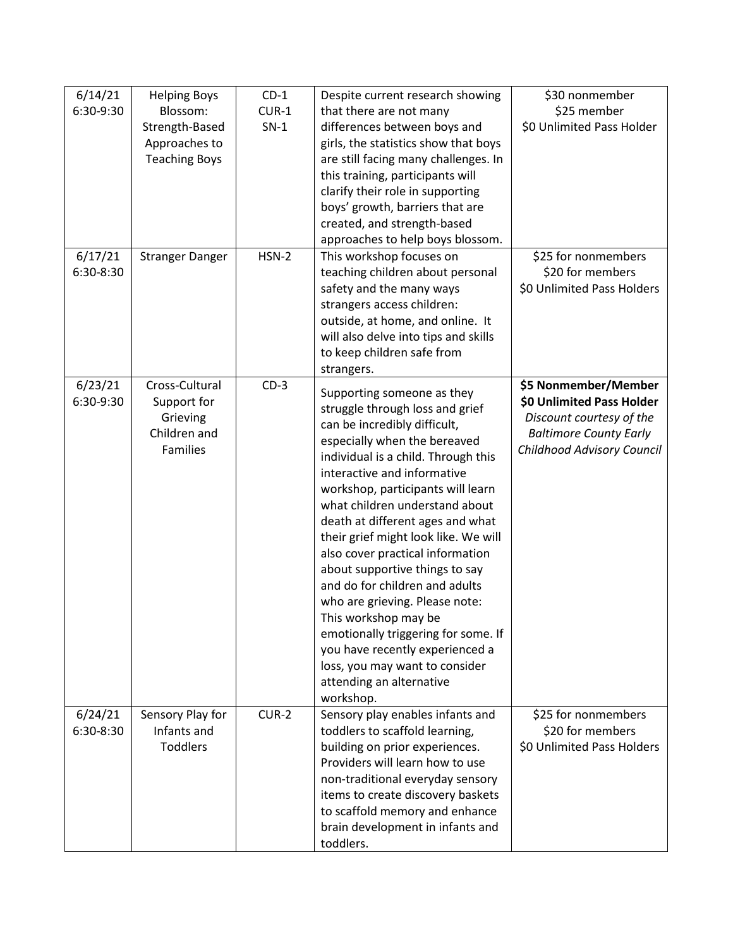| 6/14/21   | <b>Helping Boys</b>    | $CD-1$  | Despite current research showing     | \$30 nonmember                |
|-----------|------------------------|---------|--------------------------------------|-------------------------------|
| 6:30-9:30 | Blossom:               | $CUR-1$ | that there are not many              | \$25 member                   |
|           | Strength-Based         | $SN-1$  | differences between boys and         | \$0 Unlimited Pass Holder     |
|           | Approaches to          |         | girls, the statistics show that boys |                               |
|           | <b>Teaching Boys</b>   |         | are still facing many challenges. In |                               |
|           |                        |         | this training, participants will     |                               |
|           |                        |         | clarify their role in supporting     |                               |
|           |                        |         | boys' growth, barriers that are      |                               |
|           |                        |         | created, and strength-based          |                               |
|           |                        |         | approaches to help boys blossom.     |                               |
| 6/17/21   | <b>Stranger Danger</b> | $HSN-2$ | This workshop focuses on             | \$25 for nonmembers           |
| 6:30-8:30 |                        |         | teaching children about personal     | \$20 for members              |
|           |                        |         | safety and the many ways             | \$0 Unlimited Pass Holders    |
|           |                        |         | strangers access children:           |                               |
|           |                        |         | outside, at home, and online. It     |                               |
|           |                        |         | will also delve into tips and skills |                               |
|           |                        |         | to keep children safe from           |                               |
|           |                        |         | strangers.                           |                               |
| 6/23/21   | Cross-Cultural         | $CD-3$  | Supporting someone as they           | \$5 Nonmember/Member          |
| 6:30-9:30 | Support for            |         | struggle through loss and grief      | \$0 Unlimited Pass Holder     |
|           | Grieving               |         | can be incredibly difficult,         | Discount courtesy of the      |
|           | Children and           |         | especially when the bereaved         | <b>Baltimore County Early</b> |
|           | <b>Families</b>        |         | individual is a child. Through this  | Childhood Advisory Council    |
|           |                        |         | interactive and informative          |                               |
|           |                        |         | workshop, participants will learn    |                               |
|           |                        |         | what children understand about       |                               |
|           |                        |         | death at different ages and what     |                               |
|           |                        |         | their grief might look like. We will |                               |
|           |                        |         | also cover practical information     |                               |
|           |                        |         | about supportive things to say       |                               |
|           |                        |         | and do for children and adults       |                               |
|           |                        |         | who are grieving. Please note:       |                               |
|           |                        |         | This workshop may be                 |                               |
|           |                        |         | emotionally triggering for some. If  |                               |
|           |                        |         | you have recently experienced a      |                               |
|           |                        |         | loss, you may want to consider       |                               |
|           |                        |         | attending an alternative             |                               |
|           |                        |         | workshop.                            |                               |
| 6/24/21   | Sensory Play for       | $CUR-2$ | Sensory play enables infants and     | \$25 for nonmembers           |
| 6:30-8:30 | Infants and            |         | toddlers to scaffold learning,       | \$20 for members              |
|           | <b>Toddlers</b>        |         | building on prior experiences.       | \$0 Unlimited Pass Holders    |
|           |                        |         | Providers will learn how to use      |                               |
|           |                        |         | non-traditional everyday sensory     |                               |
|           |                        |         | items to create discovery baskets    |                               |
|           |                        |         | to scaffold memory and enhance       |                               |
|           |                        |         | brain development in infants and     |                               |
|           |                        |         | toddlers.                            |                               |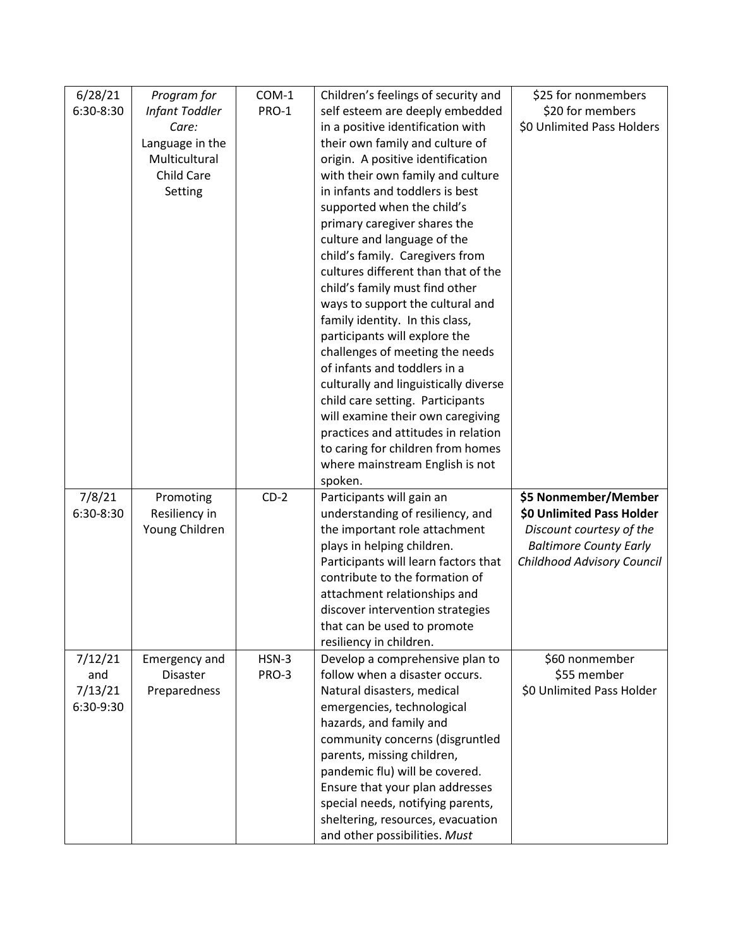| 6/28/21   | Program for               | COM-1   | Children's feelings of security and                        | \$25 for nonmembers           |
|-----------|---------------------------|---------|------------------------------------------------------------|-------------------------------|
| 6:30-8:30 | Infant Toddler            | PRO-1   | self esteem are deeply embedded                            | \$20 for members              |
|           | Care:                     |         | in a positive identification with                          | \$0 Unlimited Pass Holders    |
|           | Language in the           |         | their own family and culture of                            |                               |
|           | Multicultural             |         | origin. A positive identification                          |                               |
|           | <b>Child Care</b>         |         | with their own family and culture                          |                               |
|           | Setting                   |         | in infants and toddlers is best                            |                               |
|           |                           |         | supported when the child's                                 |                               |
|           |                           |         | primary caregiver shares the                               |                               |
|           |                           |         | culture and language of the                                |                               |
|           |                           |         | child's family. Caregivers from                            |                               |
|           |                           |         | cultures different than that of the                        |                               |
|           |                           |         | child's family must find other                             |                               |
|           |                           |         | ways to support the cultural and                           |                               |
|           |                           |         | family identity. In this class,                            |                               |
|           |                           |         | participants will explore the                              |                               |
|           |                           |         | challenges of meeting the needs                            |                               |
|           |                           |         | of infants and toddlers in a                               |                               |
|           |                           |         | culturally and linguistically diverse                      |                               |
|           |                           |         | child care setting. Participants                           |                               |
|           |                           |         | will examine their own caregiving                          |                               |
|           |                           |         | practices and attitudes in relation                        |                               |
|           |                           |         | to caring for children from homes                          |                               |
|           |                           |         | where mainstream English is not                            |                               |
|           |                           |         | spoken.                                                    |                               |
| 7/8/21    | Promoting                 | $CD-2$  | Participants will gain an                                  | \$5 Nonmember/Member          |
| 6:30-8:30 | Resiliency in             |         | understanding of resiliency, and                           | \$0 Unlimited Pass Holder     |
|           | Young Children            |         | the important role attachment                              | Discount courtesy of the      |
|           |                           |         | plays in helping children.                                 | <b>Baltimore County Early</b> |
|           |                           |         | Participants will learn factors that                       | Childhood Advisory Council    |
|           |                           |         | contribute to the formation of                             |                               |
|           |                           |         | attachment relationships and                               |                               |
|           |                           |         | discover intervention strategies                           |                               |
|           |                           |         | that can be used to promote                                |                               |
| 7/12/21   |                           | $HSN-3$ | resiliency in children.<br>Develop a comprehensive plan to | \$60 nonmember                |
| and       | Emergency and<br>Disaster | PRO-3   | follow when a disaster occurs.                             | \$55 member                   |
| 7/13/21   | Preparedness              |         | Natural disasters, medical                                 | \$0 Unlimited Pass Holder     |
| 6:30-9:30 |                           |         | emergencies, technological                                 |                               |
|           |                           |         | hazards, and family and                                    |                               |
|           |                           |         | community concerns (disgruntled                            |                               |
|           |                           |         | parents, missing children,                                 |                               |
|           |                           |         | pandemic flu) will be covered.                             |                               |
|           |                           |         | Ensure that your plan addresses                            |                               |
|           |                           |         | special needs, notifying parents,                          |                               |
|           |                           |         |                                                            |                               |
|           |                           |         | sheltering, resources, evacuation                          |                               |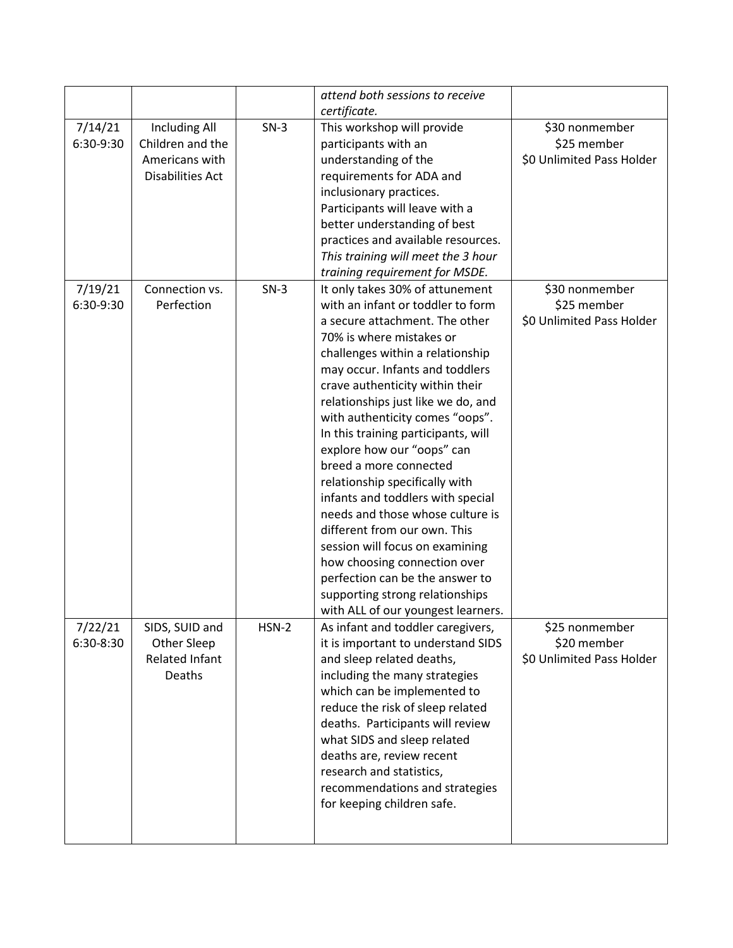|           |                         |         | attend both sessions to receive     |                           |
|-----------|-------------------------|---------|-------------------------------------|---------------------------|
|           |                         |         | certificate.                        |                           |
| 7/14/21   | <b>Including All</b>    | $SN-3$  | This workshop will provide          | \$30 nonmember            |
| 6:30-9:30 | Children and the        |         | participants with an                | \$25 member               |
|           | Americans with          |         | understanding of the                | \$0 Unlimited Pass Holder |
|           | <b>Disabilities Act</b> |         | requirements for ADA and            |                           |
|           |                         |         | inclusionary practices.             |                           |
|           |                         |         | Participants will leave with a      |                           |
|           |                         |         | better understanding of best        |                           |
|           |                         |         | practices and available resources.  |                           |
|           |                         |         | This training will meet the 3 hour  |                           |
|           |                         |         | training requirement for MSDE.      |                           |
| 7/19/21   | Connection vs.          | $SN-3$  | It only takes 30% of attunement     | \$30 nonmember            |
| 6:30-9:30 | Perfection              |         | with an infant or toddler to form   | \$25 member               |
|           |                         |         | a secure attachment. The other      | \$0 Unlimited Pass Holder |
|           |                         |         | 70% is where mistakes or            |                           |
|           |                         |         | challenges within a relationship    |                           |
|           |                         |         | may occur. Infants and toddlers     |                           |
|           |                         |         | crave authenticity within their     |                           |
|           |                         |         | relationships just like we do, and  |                           |
|           |                         |         | with authenticity comes "oops".     |                           |
|           |                         |         | In this training participants, will |                           |
|           |                         |         | explore how our "oops" can          |                           |
|           |                         |         | breed a more connected              |                           |
|           |                         |         | relationship specifically with      |                           |
|           |                         |         | infants and toddlers with special   |                           |
|           |                         |         | needs and those whose culture is    |                           |
|           |                         |         | different from our own. This        |                           |
|           |                         |         | session will focus on examining     |                           |
|           |                         |         | how choosing connection over        |                           |
|           |                         |         | perfection can be the answer to     |                           |
|           |                         |         | supporting strong relationships     |                           |
|           |                         |         | with ALL of our youngest learners.  |                           |
| 7/22/21   | SIDS, SUID and          | $HSN-2$ | As infant and toddler caregivers,   | \$25 nonmember            |
| 6:30-8:30 | Other Sleep             |         | it is important to understand SIDS  | \$20 member               |
|           | <b>Related Infant</b>   |         | and sleep related deaths,           | \$0 Unlimited Pass Holder |
|           | Deaths                  |         | including the many strategies       |                           |
|           |                         |         | which can be implemented to         |                           |
|           |                         |         | reduce the risk of sleep related    |                           |
|           |                         |         | deaths. Participants will review    |                           |
|           |                         |         | what SIDS and sleep related         |                           |
|           |                         |         | deaths are, review recent           |                           |
|           |                         |         | research and statistics,            |                           |
|           |                         |         | recommendations and strategies      |                           |
|           |                         |         | for keeping children safe.          |                           |
|           |                         |         |                                     |                           |
|           |                         |         |                                     |                           |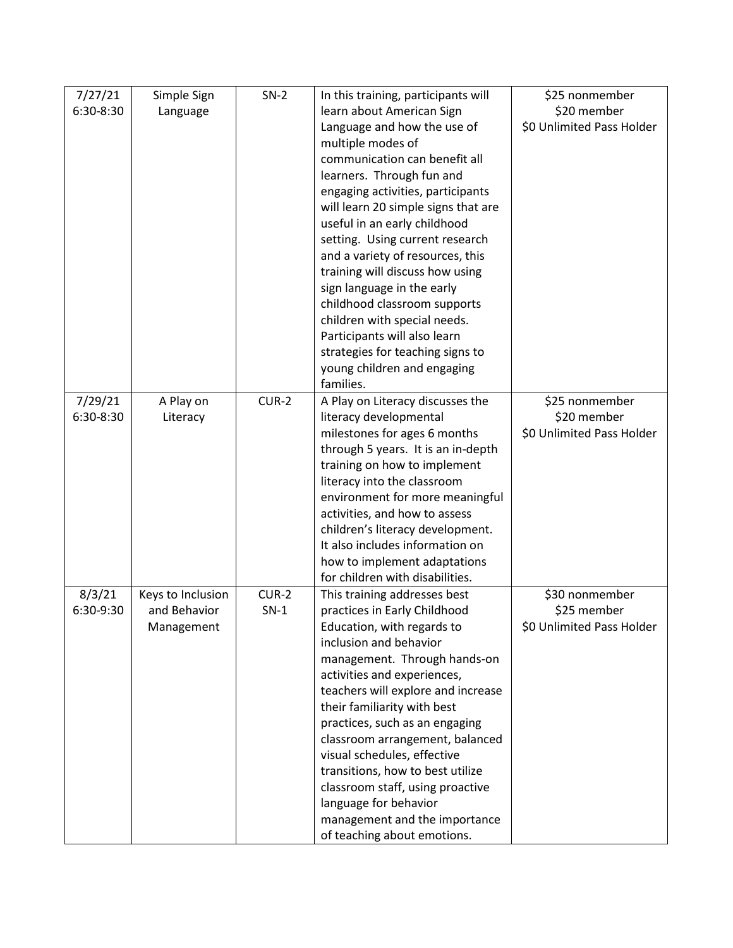| 7/27/21   | Simple Sign       | $SN-2$  | In this training, participants will | \$25 nonmember            |
|-----------|-------------------|---------|-------------------------------------|---------------------------|
| 6:30-8:30 | Language          |         | learn about American Sign           | \$20 member               |
|           |                   |         | Language and how the use of         | \$0 Unlimited Pass Holder |
|           |                   |         | multiple modes of                   |                           |
|           |                   |         | communication can benefit all       |                           |
|           |                   |         | learners. Through fun and           |                           |
|           |                   |         | engaging activities, participants   |                           |
|           |                   |         | will learn 20 simple signs that are |                           |
|           |                   |         | useful in an early childhood        |                           |
|           |                   |         | setting. Using current research     |                           |
|           |                   |         | and a variety of resources, this    |                           |
|           |                   |         | training will discuss how using     |                           |
|           |                   |         | sign language in the early          |                           |
|           |                   |         | childhood classroom supports        |                           |
|           |                   |         | children with special needs.        |                           |
|           |                   |         | Participants will also learn        |                           |
|           |                   |         | strategies for teaching signs to    |                           |
|           |                   |         | young children and engaging         |                           |
|           |                   |         | families.                           |                           |
| 7/29/21   | A Play on         | $CUR-2$ | A Play on Literacy discusses the    | \$25 nonmember            |
| 6:30-8:30 | Literacy          |         | literacy developmental              | \$20 member               |
|           |                   |         | milestones for ages 6 months        | \$0 Unlimited Pass Holder |
|           |                   |         | through 5 years. It is an in-depth  |                           |
|           |                   |         | training on how to implement        |                           |
|           |                   |         | literacy into the classroom         |                           |
|           |                   |         | environment for more meaningful     |                           |
|           |                   |         | activities, and how to assess       |                           |
|           |                   |         | children's literacy development.    |                           |
|           |                   |         | It also includes information on     |                           |
|           |                   |         | how to implement adaptations        |                           |
|           |                   |         | for children with disabilities.     |                           |
| 8/3/21    | Keys to Inclusion | $CUR-2$ | This training addresses best        | \$30 nonmember            |
| 6:30-9:30 | and Behavior      | $SN-1$  | practices in Early Childhood        | \$25 member               |
|           | Management        |         | Education, with regards to          | \$0 Unlimited Pass Holder |
|           |                   |         | inclusion and behavior              |                           |
|           |                   |         | management. Through hands-on        |                           |
|           |                   |         | activities and experiences,         |                           |
|           |                   |         | teachers will explore and increase  |                           |
|           |                   |         | their familiarity with best         |                           |
|           |                   |         | practices, such as an engaging      |                           |
|           |                   |         | classroom arrangement, balanced     |                           |
|           |                   |         | visual schedules, effective         |                           |
|           |                   |         | transitions, how to best utilize    |                           |
|           |                   |         | classroom staff, using proactive    |                           |
|           |                   |         | language for behavior               |                           |
|           |                   |         | management and the importance       |                           |
|           |                   |         | of teaching about emotions.         |                           |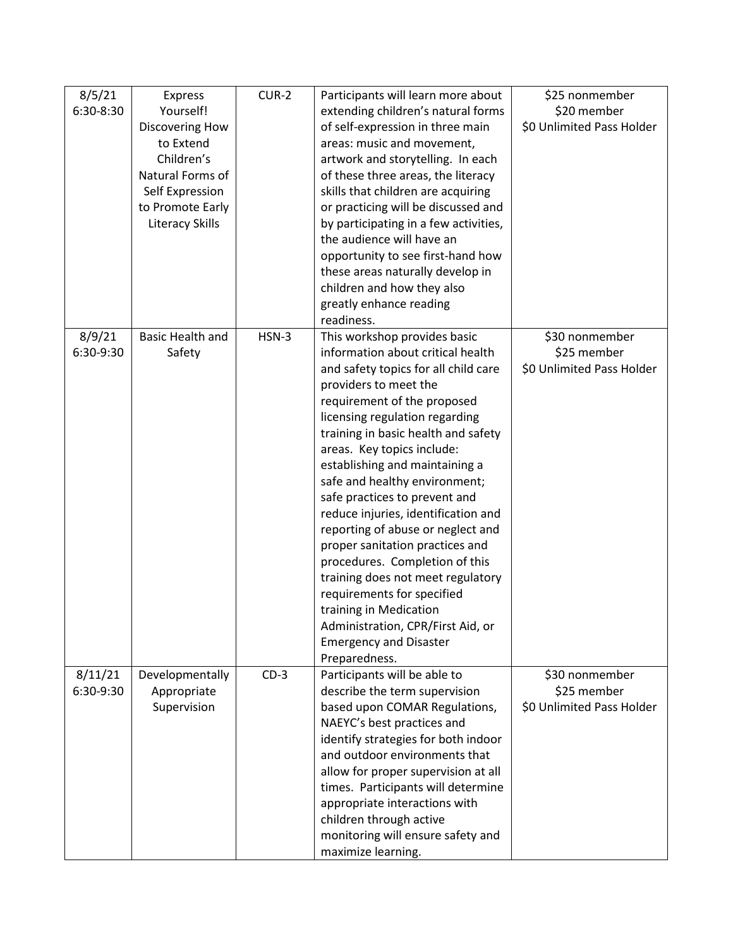| 8/5/21    | <b>Express</b>          | $CUR-2$ | Participants will learn more about                                | \$25 nonmember            |
|-----------|-------------------------|---------|-------------------------------------------------------------------|---------------------------|
| 6:30-8:30 | Yourself!               |         | extending children's natural forms                                | \$20 member               |
|           | Discovering How         |         | of self-expression in three main                                  | \$0 Unlimited Pass Holder |
|           | to Extend               |         | areas: music and movement,                                        |                           |
|           | Children's              |         | artwork and storytelling. In each                                 |                           |
|           | Natural Forms of        |         | of these three areas, the literacy                                |                           |
|           | Self Expression         |         | skills that children are acquiring                                |                           |
|           | to Promote Early        |         | or practicing will be discussed and                               |                           |
|           | <b>Literacy Skills</b>  |         | by participating in a few activities,                             |                           |
|           |                         |         | the audience will have an                                         |                           |
|           |                         |         | opportunity to see first-hand how                                 |                           |
|           |                         |         | these areas naturally develop in                                  |                           |
|           |                         |         | children and how they also                                        |                           |
|           |                         |         | greatly enhance reading                                           |                           |
|           |                         |         | readiness.                                                        |                           |
| 8/9/21    | <b>Basic Health and</b> | $HSN-3$ | This workshop provides basic                                      | \$30 nonmember            |
| 6:30-9:30 | Safety                  |         | information about critical health                                 | \$25 member               |
|           |                         |         | and safety topics for all child care                              | \$0 Unlimited Pass Holder |
|           |                         |         | providers to meet the                                             |                           |
|           |                         |         | requirement of the proposed                                       |                           |
|           |                         |         | licensing regulation regarding                                    |                           |
|           |                         |         | training in basic health and safety                               |                           |
|           |                         |         | areas. Key topics include:                                        |                           |
|           |                         |         | establishing and maintaining a                                    |                           |
|           |                         |         | safe and healthy environment;                                     |                           |
|           |                         |         | safe practices to prevent and                                     |                           |
|           |                         |         | reduce injuries, identification and                               |                           |
|           |                         |         | reporting of abuse or neglect and                                 |                           |
|           |                         |         | proper sanitation practices and                                   |                           |
|           |                         |         | procedures. Completion of this                                    |                           |
|           |                         |         | training does not meet regulatory                                 |                           |
|           |                         |         | requirements for specified                                        |                           |
|           |                         |         | training in Medication                                            |                           |
|           |                         |         | Administration, CPR/First Aid, or                                 |                           |
|           |                         |         | <b>Emergency and Disaster</b>                                     |                           |
|           |                         |         | Preparedness.                                                     |                           |
| 8/11/21   | Developmentally         | $CD-3$  | Participants will be able to                                      | \$30 nonmember            |
| 6:30-9:30 | Appropriate             |         | describe the term supervision                                     | \$25 member               |
|           | Supervision             |         | based upon COMAR Regulations,                                     | \$0 Unlimited Pass Holder |
|           |                         |         | NAEYC's best practices and<br>identify strategies for both indoor |                           |
|           |                         |         | and outdoor environments that                                     |                           |
|           |                         |         | allow for proper supervision at all                               |                           |
|           |                         |         | times. Participants will determine                                |                           |
|           |                         |         | appropriate interactions with                                     |                           |
|           |                         |         | children through active                                           |                           |
|           |                         |         | monitoring will ensure safety and                                 |                           |
|           |                         |         | maximize learning.                                                |                           |
|           |                         |         |                                                                   |                           |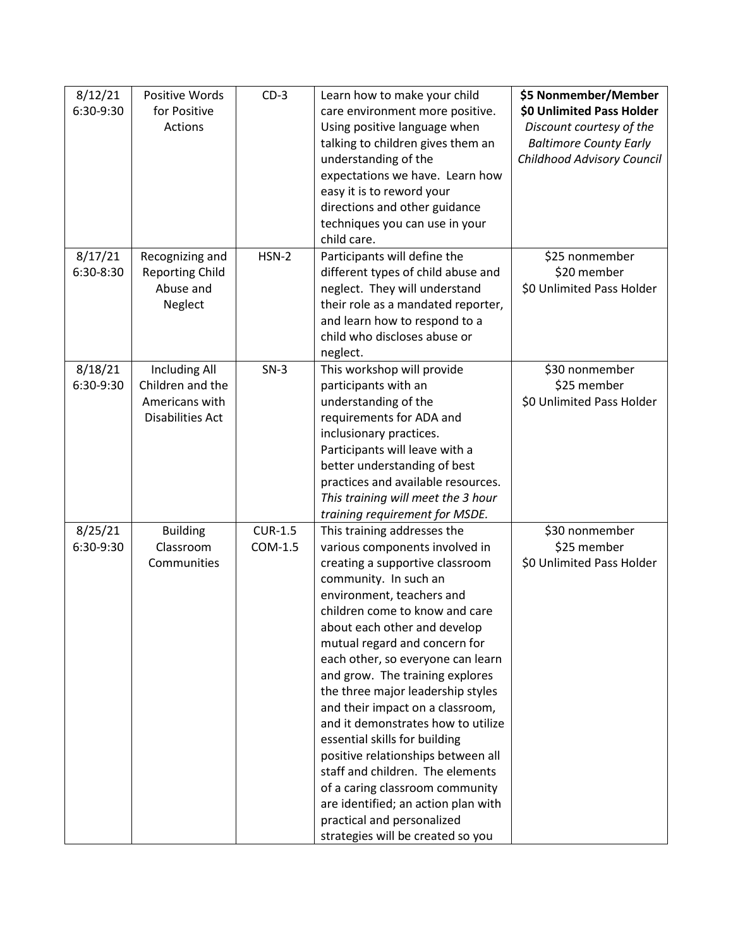| 8/12/21   | Positive Words          | $CD-3$         | Learn how to make your child        | \$5 Nonmember/Member          |
|-----------|-------------------------|----------------|-------------------------------------|-------------------------------|
| 6:30-9:30 | for Positive            |                | care environment more positive.     | \$0 Unlimited Pass Holder     |
|           | Actions                 |                | Using positive language when        | Discount courtesy of the      |
|           |                         |                | talking to children gives them an   | <b>Baltimore County Early</b> |
|           |                         |                | understanding of the                | Childhood Advisory Council    |
|           |                         |                | expectations we have. Learn how     |                               |
|           |                         |                | easy it is to reword your           |                               |
|           |                         |                | directions and other guidance       |                               |
|           |                         |                | techniques you can use in your      |                               |
|           |                         |                | child care.                         |                               |
| 8/17/21   | Recognizing and         | $HSN-2$        | Participants will define the        | \$25 nonmember                |
| 6:30-8:30 | <b>Reporting Child</b>  |                | different types of child abuse and  | \$20 member                   |
|           | Abuse and               |                | neglect. They will understand       | \$0 Unlimited Pass Holder     |
|           | Neglect                 |                | their role as a mandated reporter,  |                               |
|           |                         |                | and learn how to respond to a       |                               |
|           |                         |                | child who discloses abuse or        |                               |
|           |                         |                | neglect.                            |                               |
| 8/18/21   | <b>Including All</b>    | $SN-3$         | This workshop will provide          | \$30 nonmember                |
| 6:30-9:30 | Children and the        |                | participants with an                | \$25 member                   |
|           | Americans with          |                | understanding of the                | \$0 Unlimited Pass Holder     |
|           | <b>Disabilities Act</b> |                | requirements for ADA and            |                               |
|           |                         |                | inclusionary practices.             |                               |
|           |                         |                | Participants will leave with a      |                               |
|           |                         |                | better understanding of best        |                               |
|           |                         |                | practices and available resources.  |                               |
|           |                         |                | This training will meet the 3 hour  |                               |
|           |                         |                | training requirement for MSDE.      |                               |
| 8/25/21   | <b>Building</b>         | <b>CUR-1.5</b> | This training addresses the         | \$30 nonmember                |
| 6:30-9:30 | Classroom               | COM-1.5        | various components involved in      | \$25 member                   |
|           | Communities             |                | creating a supportive classroom     | \$0 Unlimited Pass Holder     |
|           |                         |                | community. In such an               |                               |
|           |                         |                | environment, teachers and           |                               |
|           |                         |                | children come to know and care      |                               |
|           |                         |                | about each other and develop        |                               |
|           |                         |                | mutual regard and concern for       |                               |
|           |                         |                | each other, so everyone can learn   |                               |
|           |                         |                | and grow. The training explores     |                               |
|           |                         |                | the three major leadership styles   |                               |
|           |                         |                | and their impact on a classroom,    |                               |
|           |                         |                | and it demonstrates how to utilize  |                               |
|           |                         |                | essential skills for building       |                               |
|           |                         |                | positive relationships between all  |                               |
|           |                         |                | staff and children. The elements    |                               |
|           |                         |                | of a caring classroom community     |                               |
|           |                         |                | are identified; an action plan with |                               |
|           |                         |                | practical and personalized          |                               |
|           |                         |                | strategies will be created so you   |                               |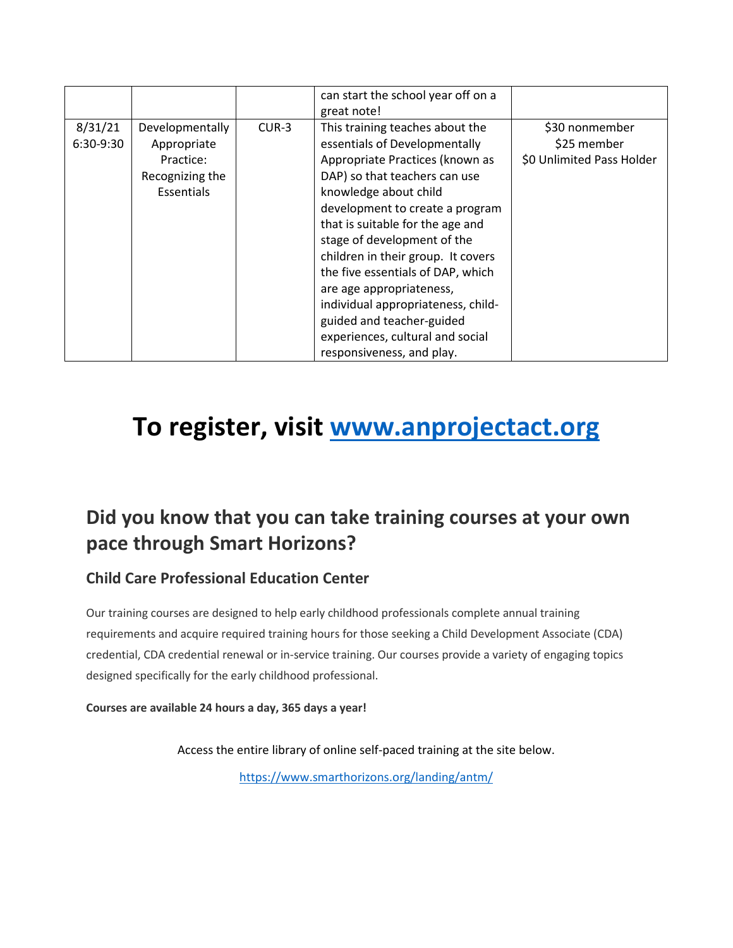|                      |                                                                              |         | can start the school year off on a                                                                                                                                                                                                                                                                                                                                                                               |                                                            |
|----------------------|------------------------------------------------------------------------------|---------|------------------------------------------------------------------------------------------------------------------------------------------------------------------------------------------------------------------------------------------------------------------------------------------------------------------------------------------------------------------------------------------------------------------|------------------------------------------------------------|
|                      |                                                                              |         | great note!                                                                                                                                                                                                                                                                                                                                                                                                      |                                                            |
| 8/31/21<br>6:30-9:30 | Developmentally<br>Appropriate<br>Practice:<br>Recognizing the<br>Essentials | $CUR-3$ | This training teaches about the<br>essentials of Developmentally<br>Appropriate Practices (known as<br>DAP) so that teachers can use<br>knowledge about child<br>development to create a program<br>that is suitable for the age and<br>stage of development of the<br>children in their group. It covers<br>the five essentials of DAP, which<br>are age appropriateness,<br>individual appropriateness, child- | \$30 nonmember<br>\$25 member<br>\$0 Unlimited Pass Holder |
|                      |                                                                              |         | guided and teacher-guided<br>experiences, cultural and social                                                                                                                                                                                                                                                                                                                                                    |                                                            |
|                      |                                                                              |         | responsiveness, and play.                                                                                                                                                                                                                                                                                                                                                                                        |                                                            |

# **To register, visit [www.anprojectact.org](http://www.anprojectact.org/)**

#### **Did you know that you can take training courses at your own pace through Smart Horizons?**

#### **Child Care Professional Education Center**

Our training courses are designed to help early childhood professionals complete annual training requirements and acquire required training hours for those seeking a Child Development Associate (CDA) credential, CDA credential renewal or in-service training. Our courses provide a variety of engaging topics designed specifically for the early childhood professional.

**Courses are available 24 hours a day, 365 days a year!**

Access the entire library of online self-paced training at the site below.

<https://www.smarthorizons.org/landing/antm/>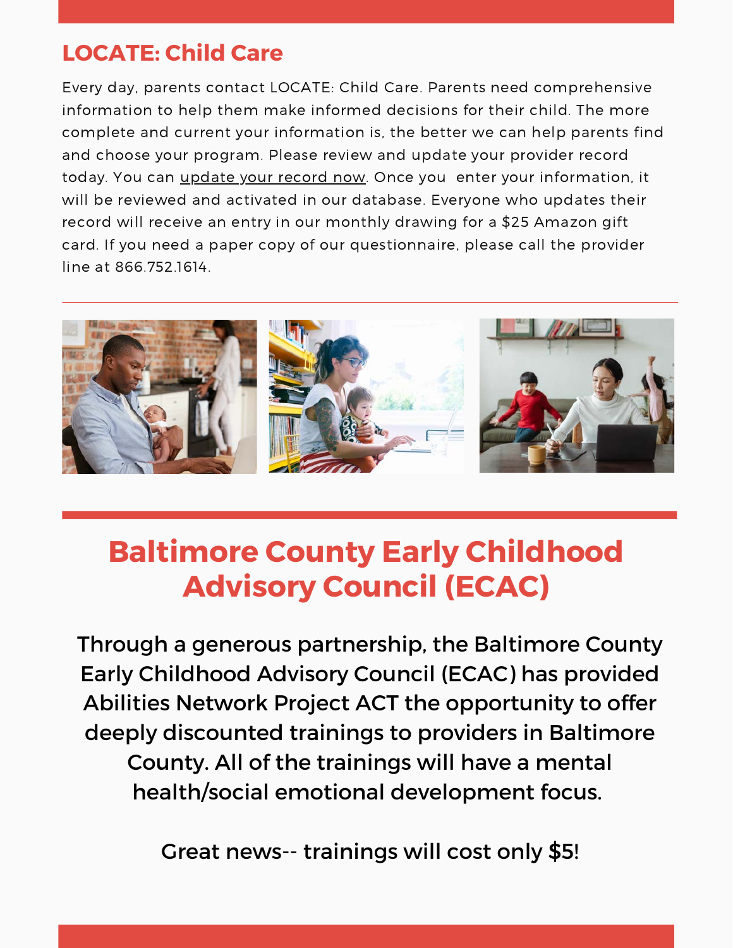## **LOCATE: Child Care**

Every day, parents contact LOCATE: Child Care. Parents need comprehensive information to help them make informed decisions for their child. The more complete and current your information is, the better we can help parents find and choose your program. Please review and update your provider record today. You can *[update](https://locate.marylandfamilynetwork.org/Provider/login) your record now*. Once you enter your information, it will be reviewed and activated in our database. Everyone who updates their record will receive an entry in our monthly drawing for a \$25 Amazon gift card. If you need a paper copy of our questionnaire, please call the provider line at 866.752.1614.



# **Baltimore County Early Childhood Advisory Council (ECAC)**

Through a generous partnership, the Baltimore County Early Childhood Advisory Council (ECAC) has provided Abilities Network Project ACT the opportunity to offer deeply discounted trainings to providers in Baltimore County. All of the trainings will have a mental health/social emotional development focus.

Great news-- trainings will cost only \$5!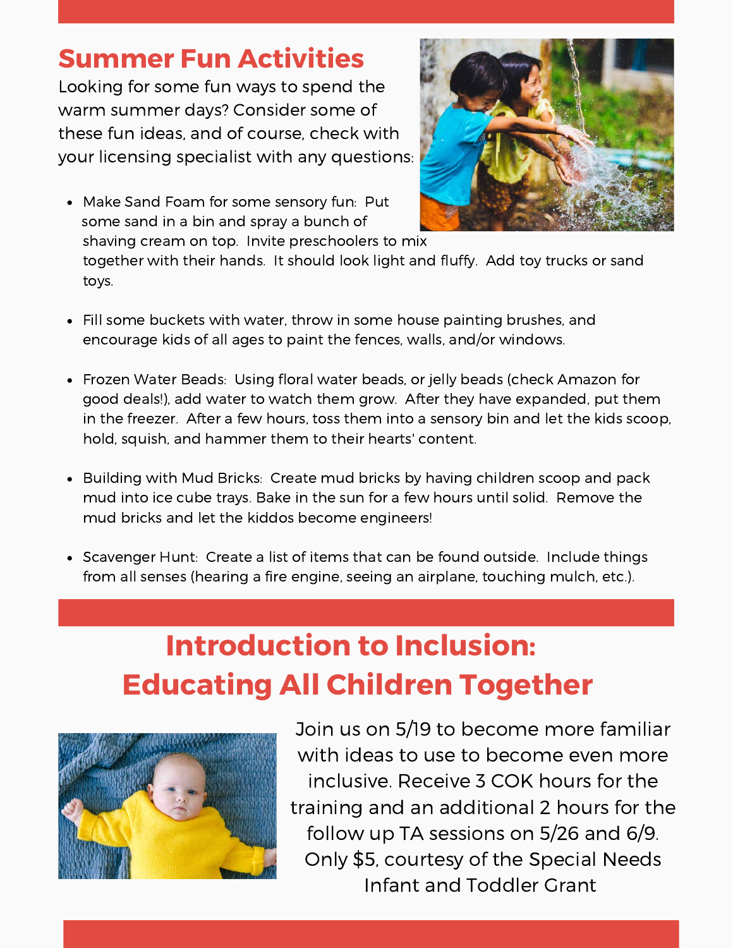## **Summer Fun Activities**

Looking for some fun ways to spend the warm summer days? Consider some of these fun ideas, and of course, check with your licensing specialist with any questions:

Make Sand Foam for some sensory fun: Put some sand in a bin and spray a bunch of shaving cream on top. Invite preschoolers to mix



together with their hands. It should look light and fluffy. Add toy trucks or sand toys.

- Fill some buckets with water, throw in some house painting brushes, and encourage kids of all ages to paint the fences, walls, and/or windows.
- Frozen Water Beads: Using floral water beads, or jelly beads (check Amazon for good deals!), add water to watch them grow. After they have expanded, put them in the freezer. After a few hours, toss them into a sensory bin and let the kids scoop, hold, squish, and hammer them to their hearts' content.
- Building with Mud Bricks: Create mud bricks by having children scoop and pack mud into ice cube trays. Bake in the sun for a few hours until solid. Remove the mud bricks and let the kiddos become engineers!
- Scavenger Hunt: Create a list of items that can be found outside. Include things from all senses (hearing a fire engine, seeing an airplane, touching mulch, etc.).

# **Introduction to Inclusion: Educating All Children Together**



Join us on 5/19 to become more familiar with ideas to use to become even more inclusive. Receive 3 COK hours for the training and an additional 2 hours for the follow up TA sessions on 5/26 and 6/9. Only \$5, courtesy of the Special Needs Infant and Toddler Grant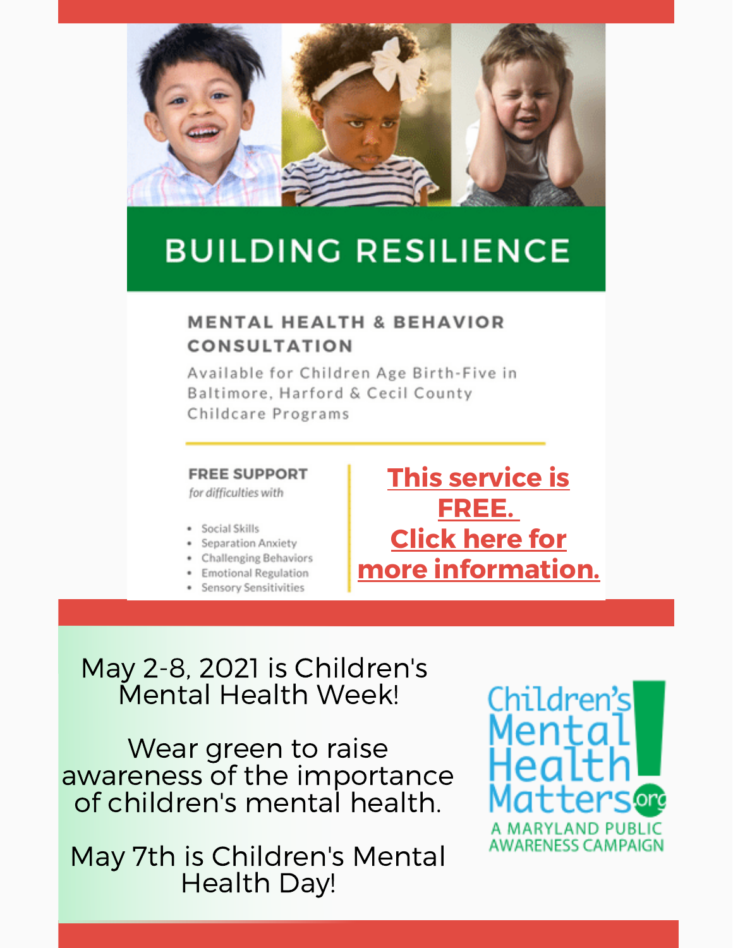

# **BUILDING RESILIENCE**

#### **MENTAL HEALTH & BEHAVIOR CONSULTATION**

Available for Children Age Birth-Five in Baltimore, Harford & Cecil County Childcare Programs

#### **FREE SUPPORT**

for difficulties with

- · Social Skills
- · Separation Anxiety
- Challenging Behaviors
- · Emotional Regulation
- · Sensory Sensitivities

## **[This service is](https://ccrcbc.com/programs/early-childhood-consultation-services/) FREE[.](https://ccrcbc.com/programs/early-childhood-consultation-services/) Click here for [more information.](https://ccrcbc.com/programs/early-childhood-consultation-services/)**

## May 2-8, 2021 is Children's Mental Health Week!

Wear green to raise awareness of the importance of children's mental health.

May 7th is Children's Mental Health Day!